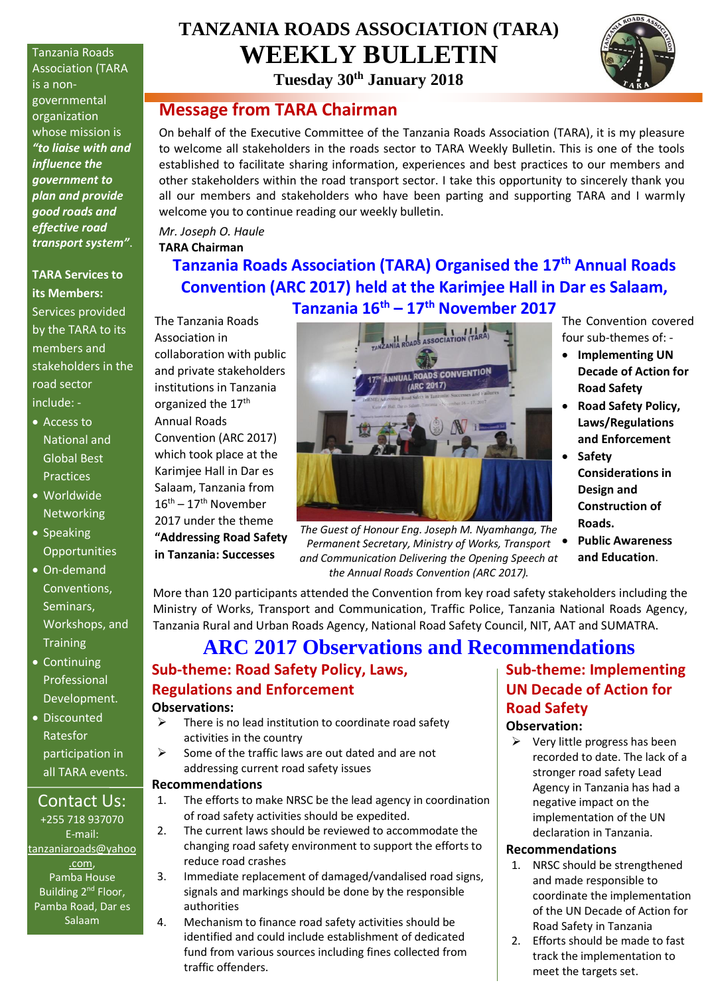Tanzania Roads Association (TARA is a nongovernmental organization whose mission is *"to liaise with and influence the government to plan and provide good roads and effective road transport system"*.

**TARA Services to its Members:** Services provided by the TARA to its members and stakeholders in the road sector include: -

- Access to National and Global Best Practices
- Worldwide **Networking**
- Speaking **Opportunities**
- On-demand Conventions, Seminars, Workshops, and **Training**
- Continuing Professional Development.
- Discounted Ratesfor participation in all TARA events.

### Contact Us:

+255 718 937070 E-mail: [tanzaniaroads@yahoo](mailto:tanzaniaroads@yahoo.com) [.com,](mailto:tanzaniaroads@yahoo.com) Pamba House Building 2<sup>nd</sup> Floor, Pamba Road, Dar es Salaam

# **TANZANIA ROADS ASSOCIATION (TARA) WEEKLY BULLETIN**

**Tuesday 30th January 2018**

### **Message from TARA Chairman**

On behalf of the Executive Committee of the Tanzania Roads Association (TARA), it is my pleasure to welcome all stakeholders in the roads sector to TARA Weekly Bulletin. This is one of the tools established to facilitate sharing information, experiences and best practices to our members and other stakeholders within the road transport sector. I take this opportunity to sincerely thank you all our members and stakeholders who have been parting and supporting TARA and I warmly welcome you to continue reading our weekly bulletin.

*Mr. Joseph O. Haule* **TARA Chairman**

## **Tanzania Roads Association (TARA) Organised the 17th Annual Roads Convention (ARC 2017) held at the Karimjee Hall in Dar es Salaam, Tanzania 16th – 17th November 2017**

The Tanzania Roads Association in collaboration with public and private stakeholders institutions in Tanzania organized the 17<sup>th</sup> Annual Roads Convention (ARC 2017) which took place at the Karimjee Hall in Dar es Salaam, Tanzania from  $16^{\text{th}} - 17^{\text{th}}$  November 2017 under the theme **"Addressing Road Safety in Tanzania: Successes** 



*The Guest of Honour Eng. Joseph M. Nyamhanga, The Permanent Secretary, Ministry of Works, Transport and Communication Delivering the Opening Speech at the Annual Roads Convention (ARC 2017).*

The Convention covered four sub-themes of: -

- **Implementing UN Decade of Action for Road Safety**
- **Road Safety Policy, Laws/Regulations and Enforcement**
- **Safety Considerations in Design and Construction of Roads.**
- **Public Awareness and Education**.

More than 120 participants attended the Convention from key road safety stakeholders including the Ministry of Works, Transport and Communication, Traffic Police, Tanzania National Roads Agency, Tanzania Rural and Urban Roads Agency, National Road Safety Council, NIT, AAT and SUMATRA.

## **ARC 2017 Observations and Recommendations Sub-theme: Road Safety Policy, Laws,**

# **Regulations and Enforcement**

#### **Observations:**

- $\triangleright$  There is no lead institution to coordinate road safety activities in the country
- $\triangleright$  Some of the traffic laws are out dated and are not addressing current road safety issues

#### **Recommendations**

- 1. The efforts to make NRSC be the lead agency in coordination of road safety activities should be expedited.
- 2. The current laws should be reviewed to accommodate the
- changing road safety environment to support the efforts to reduce road crashes
- 3. Immediate replacement of damaged/vandalised road signs, signals and markings should be done by the responsible authorities
- 4. Mechanism to finance road safety activities should be identified and could include establishment of dedicated fund from various sources including fines collected from traffic offenders.

## **Sub-theme: Implementing UN Decade of Action for Road Safety**

#### **Observation:**

 $\triangleright$  Very little progress has been recorded to date. The lack of a stronger road safety Lead Agency in Tanzania has had a negative impact on the implementation of the UN declaration in Tanzania.

#### **Recommendations**

- 1. NRSC should be strengthened and made responsible to coordinate the implementation of the UN Decade of Action for Road Safety in Tanzania
- 2. Efforts should be made to fast track the implementation to meet the targets set.